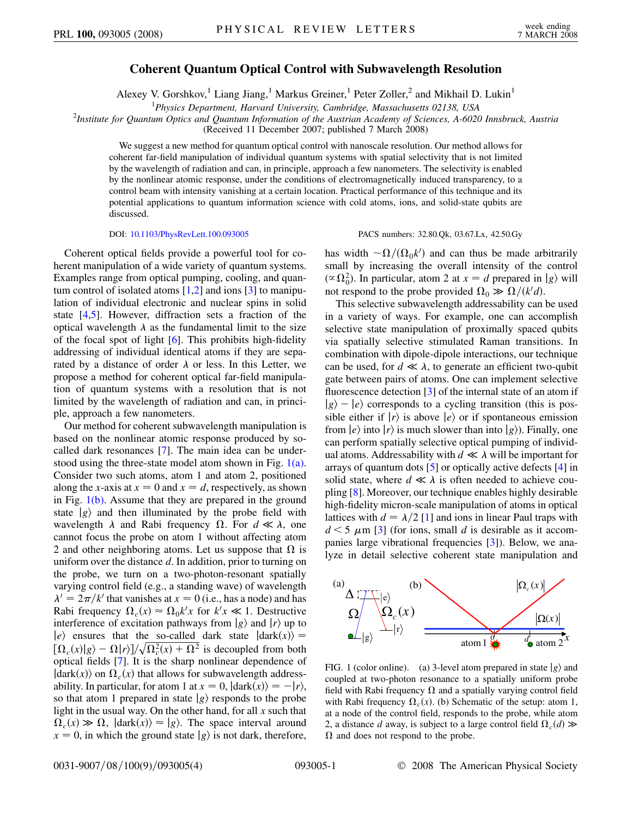## **Coherent Quantum Optical Control with Subwavelength Resolution**

Alexey V. Gorshkov,<sup>1</sup> Liang Jiang,<sup>1</sup> Markus Greiner,<sup>1</sup> Peter Zoller,<sup>2</sup> and Mikhail D. Lukin<sup>1</sup>

<sup>1</sup>Physics Department, Harvard University, Cambridge, Massachusetts 02138, USA<sup>2</sup><br><sup>2</sup>Institute for Quantum Ontics and Quantum Information of the Austrian Academy of Sciences, A.6020

*Institute for Quantum Optics and Quantum Information of the Austrian Academy of Sciences, A-6020 Innsbruck, Austria*

(Received 11 December 2007; published 7 March 2008)

We suggest a new method for quantum optical control with nanoscale resolution. Our method allows for coherent far-field manipulation of individual quantum systems with spatial selectivity that is not limited by the wavelength of radiation and can, in principle, approach a few nanometers. The selectivity is enabled by the nonlinear atomic response, under the conditions of electromagnetically induced transparency, to a control beam with intensity vanishing at a certain location. Practical performance of this technique and its potential applications to quantum information science with cold atoms, ions, and solid-state qubits are discussed.

DOI: [10.1103/PhysRevLett.100.093005](http://dx.doi.org/10.1103/PhysRevLett.100.093005) PACS numbers: 32.80.Qk, 03.67.Lx, 42.50.Gy

Coherent optical fields provide a powerful tool for coherent manipulation of a wide variety of quantum systems. Examples range from optical pumping, cooling, and quantum control of isolated atoms  $[1,2]$  $[1,2]$  $[1,2]$  and ions  $[3]$  $[3]$  to manipulation of individual electronic and nuclear spins in solid state  $[4,5]$  $[4,5]$  $[4,5]$ . However, diffraction sets a fraction of the optical wavelength  $\lambda$  as the fundamental limit to the size of the focal spot of light  $[6]$  $[6]$ . This prohibits high-fidelity addressing of individual identical atoms if they are separated by a distance of order  $\lambda$  or less. In this Letter, we propose a method for coherent optical far-field manipulation of quantum systems with a resolution that is not limited by the wavelength of radiation and can, in principle, approach a few nanometers.

Our method for coherent subwavelength manipulation is based on the nonlinear atomic response produced by socalled dark resonances [\[7\]](#page-3-6). The main idea can be understood using the three-state model atom shown in Fig.  $1(a)$ . Consider two such atoms, atom 1 and atom 2, positioned along the *x*-axis at  $x = 0$  and  $x = d$ , respectively, as shown in Fig.  $1(b)$ . Assume that they are prepared in the ground state  $|g\rangle$  and then illuminated by the probe field with wavelength  $\lambda$  and Rabi frequency  $\Omega$ . For  $d \ll \lambda$ , one cannot focus the probe on atom 1 without affecting atom 2 and other neighboring atoms. Let us suppose that  $\Omega$  is uniform over the distance *d*. In addition, prior to turning on the probe, we turn on a two-photon-resonant spatially varying control field (e.g., a standing wave) of wavelength  $\lambda' = 2\pi/k'$  that vanishes at  $x = 0$  (i.e., has a node) and has Rabi frequency  $\Omega_c(x) \approx \Omega_0 k^t x$  for  $k^t x \ll 1$ . Destructive interference of excitation pathways from  $|g\rangle$  and  $|r\rangle$  up to  $|e\rangle$  ensures that the so-called dark state  $|dark(x)\rangle =$  $\left[\Omega_c(x)|g\rangle - \Omega(r)\right] / \sqrt{\Omega_c^2(x) + \Omega^2}$  is decoupled from both optical fields [[7](#page-3-6)]. It is the sharp nonlinear dependence of  $\langle \text{dark}(x) \rangle$  on  $\Omega_c(x)$  that allows for subwavelength addressability. In particular, for atom 1 at  $x = 0$ ,  $|dark(x)\rangle = -|r\rangle$ , so that atom 1 prepared in state  $|g\rangle$  responds to the probe light in the usual way. On the other hand, for all *x* such that  $\Omega_c(x) \gg \Omega$ ,  $|$ dark $(x)$  $\rangle \approx |g\rangle$ . The space interval around  $x = 0$ , in which the ground state  $|g\rangle$  is not dark, therefore,

has width  $-\Omega/(\Omega_0 k')$  and can thus be made arbitrarily small by increasing the overall intensity of the control  $(\propto \Omega_0^2)$ . In particular, atom 2 at  $x = d$  prepared in  $|g\rangle$  will not respond to the probe provided  $\Omega_0 \gg \Omega/(k'd)$ .

This selective subwavelength addressability can be used in a variety of ways. For example, one can accomplish selective state manipulation of proximally spaced qubits via spatially selective stimulated Raman transitions. In combination with dipole-dipole interactions, our technique can be used, for  $d \ll \lambda$ , to generate an efficient two-qubit gate between pairs of atoms. One can implement selective fluorescence detection [[3](#page-3-2)] of the internal state of an atom if  $|g\rangle - |e\rangle$  corresponds to a cycling transition (this is possible either if  $|r\rangle$  is above  $|e\rangle$  or if spontaneous emission from  $|e\rangle$  into  $|r\rangle$  is much slower than into  $|g\rangle$ ). Finally, one can perform spatially selective optical pumping of individual atoms. Addressability with  $d \ll \lambda$  will be important for arrays of quantum dots [\[5\]](#page-3-4) or optically active defects [[4](#page-3-3)] in solid state, where  $d \ll \lambda$  is often needed to achieve coupling [\[8](#page-3-7)]. Moreover, our technique enables highly desirable high-fidelity micron-scale manipulation of atoms in optical lattices with  $d = \lambda/2$  [[1\]](#page-3-0) and ions in linear Paul traps with  $d \leq 5 \mu m$  [[3](#page-3-2)] (for ions, small *d* is desirable as it accompanies large vibrational frequencies [[3\]](#page-3-2)). Below, we analyze in detail selective coherent state manipulation and



<span id="page-0-0"></span>FIG. 1 (color online). (a) 3-level atom prepared in state  $|g\rangle$  and coupled at two-photon resonance to a spatially uniform probe field with Rabi frequency  $\Omega$  and a spatially varying control field with Rabi frequency  $\Omega_c(x)$ . (b) Schematic of the setup: atom 1, at a node of the control field, responds to the probe, while atom 2, a distance *d* away, is subject to a large control field  $\Omega_c(d)$   $\gg$  $\Omega$  and does not respond to the probe.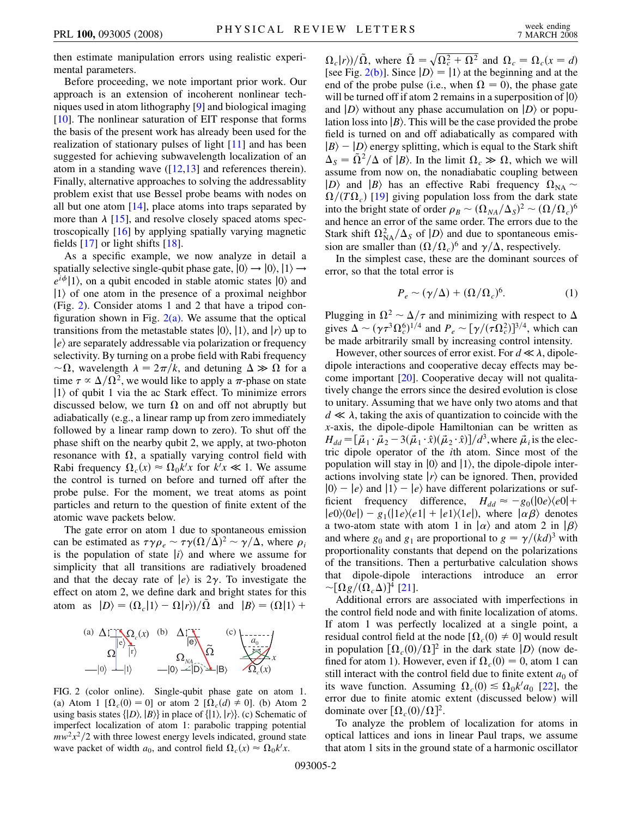then estimate manipulation errors using realistic experimental parameters.

Before proceeding, we note important prior work. Our approach is an extension of incoherent nonlinear techniques used in atom lithography [\[9](#page-3-8)] and biological imaging [\[10\]](#page-3-9). The nonlinear saturation of EIT response that forms the basis of the present work has already been used for the realization of stationary pulses of light [\[11\]](#page-3-10) and has been suggested for achieving subwavelength localization of an atom in a standing wave  $([12,13]$  $([12,13]$  $([12,13]$  $([12,13]$  $([12,13]$  and references therein). Finally, alternative approaches to solving the addressablity problem exist that use Bessel probe beams with nodes on all but one atom [[14](#page-3-13)], place atoms into traps separated by more than  $\lambda$  [[15](#page-3-14)], and resolve closely spaced atoms spectroscopically [\[16](#page-3-15)] by applying spatially varying magnetic fields  $[17]$  or light shifts  $[18]$ .

As a specific example, we now analyze in detail a spatially selective single-qubit phase gate,  $|0\rangle \rightarrow |0\rangle, |1\rangle \rightarrow$  $e^{i\phi}$ |1), on a qubit encoded in stable atomic states  $|0\rangle$  and  $|1\rangle$  of one atom in the presence of a proximal neighbor (Fig. [2](#page-1-0)). Consider atoms 1 and 2 that have a tripod configuration shown in Fig.  $2(a)$ . We assume that the optical transitions from the metastable states  $|0\rangle$ ,  $|1\rangle$ , and  $|r\rangle$  up to  $\ket{e}$  are separately addressable via polarization or frequency selectivity. By turning on a probe field with Rabi frequency  $\sim \Omega$ , wavelength  $\lambda = 2\pi/k$ , and detuning  $\Delta \gg \Omega$  for a time  $\tau \propto \Delta/\Omega^2$ , we would like to apply a  $\pi$ -phase on state  $|1\rangle$  of qubit 1 via the ac Stark effect. To minimize errors discussed below, we turn  $\Omega$  on and off not abruptly but adiabatically (e.g., a linear ramp up from zero immediately followed by a linear ramp down to zero). To shut off the phase shift on the nearby qubit 2, we apply, at two-photon resonance with  $\Omega$ , a spatially varying control field with Rabi frequency  $\Omega_c(x) \approx \Omega_0 k^t x$  for  $k^t x \ll 1$ . We assume the control is turned on before and turned off after the probe pulse. For the moment, we treat atoms as point particles and return to the question of finite extent of the atomic wave packets below.

The gate error on atom 1 due to spontaneous emission can be estimated as  $\tau \gamma \rho_e \sim \tau \gamma (\Omega/\Delta)^2 \sim \gamma/\Delta$ , where  $\rho_i$ is the population of state  $|i\rangle$  and where we assume for simplicity that all transitions are radiatively broadened and that the decay rate of  $|e\rangle$  is  $2\gamma$ . To investigate the effect on atom 2, we define dark and bright states for this atom as  $|D\rangle = (\Omega_c|1\rangle - \Omega|r\rangle)/\overline{\Omega}$  and  $|B\rangle = (\Omega|1\rangle + \overline{\Omega}|1\rangle)$ 

<span id="page-1-0"></span>

<span id="page-1-1"></span>FIG. 2 (color online). Single-qubit phase gate on atom 1. (a) Atom 1  $[\Omega_c(0) = 0]$  or atom 2  $[\Omega_c(d) \neq 0]$ . (b) Atom 2 using basis states  $\{|D\rangle, |B\rangle\}$  in place of  $\{|1\rangle, |r\rangle\}$ . (c) Schematic of imperfect localization of atom 1: parabolic trapping potential  $mw^2x^2/2$  with three lowest energy levels indicated, ground state wave packet of width  $a_0$ , and control field  $\Omega_c(x) \approx \Omega_0 k^t x$ .

 $\Omega_c(r)/\tilde{\Omega}$ , where  $\tilde{\Omega} = \sqrt{\Omega_c^2 + \Omega^2}$  and  $\Omega_c = \Omega_c(x = d)$ [see Fig. [2\(b\)](#page-1-1)]. Since  $|D\rangle = |1\rangle$  at the beginning and at the end of the probe pulse (i.e., when  $\Omega = 0$ ), the phase gate will be turned off if atom 2 remains in a superposition of  $|0\rangle$ and  $|D\rangle$  without any phase accumulation on  $|D\rangle$  or population loss into  $|B\rangle$ . This will be the case provided the probe field is turned on and off adiabatically as compared with  $|B\rangle - |D\rangle$  energy splitting, which is equal to the Stark shift  $\Delta_S = \tilde{\Omega}^2/\Delta$  of  $|B\rangle$ . In the limit  $\Omega_c \gg \Omega$ , which we will assume from now on, the nonadiabatic coupling between  $|D\rangle$  and  $|B\rangle$  has an effective Rabi frequency  $\Omega_{NA}$  $\Omega/(T\Omega_c)$  [[19](#page-3-18)] giving population loss from the dark state into the bright state of order  $\rho_B \sim (\Omega_{NA}/\Delta_s)^2 \sim (\Omega/\Omega_c)^6$ and hence an error of the same order. The errors due to the Stark shift  $\Omega_{\text{NA}}^2/\Delta_S$  of  $|D\rangle$  and due to spontaneous emission are smaller than  $(\Omega/\Omega_c)^6$  and  $\gamma/\Delta$ , respectively.

<span id="page-1-2"></span>In the simplest case, these are the dominant sources of error, so that the total error is

$$
P_e \sim (\gamma/\Delta) + (\Omega/\Omega_c)^6. \tag{1}
$$

Plugging in  $\Omega^2 \sim \Delta/\tau$  and minimizing with respect to  $\Delta$ gives  $\Delta \sim (\gamma \tau^3 \Omega_c^6)^{1/4}$  and  $P_e \sim [\gamma/(\tau \Omega_c^2)]^{3/4}$ , which can be made arbitrarily small by increasing control intensity.

However, other sources of error exist. For  $d \ll \lambda$ , dipoledipole interactions and cooperative decay effects may become important [[20](#page-3-19)]. Cooperative decay will not qualitatively change the errors since the desired evolution is close to unitary. Assuming that we have only two atoms and that  $d \ll \lambda$ , taking the axis of quantization to coincide with the *x*-axis, the dipole-dipole Hamiltonian can be written as  $H_{dd} = [\vec{\mu}_1 \cdot \vec{\mu}_2 - 3(\vec{\mu}_1 \cdot \hat{x})(\vec{\mu}_2 \cdot \hat{x})]/d^3$ , where  $\vec{\mu}_i$  is the electric dipole operator of the *i*th atom. Since most of the population will stay in  $|0\rangle$  and  $|1\rangle$ , the dipole-dipole interactions involving state  $\ket{r}$  can be ignored. Then, provided  $|0\rangle - |e\rangle$  and  $|1\rangle - |e\rangle$  have different polarizations or sufficient frequency difference,  $H_{dd} \approx -g_0(|0e\rangle\langle e0| +$  $|e0\rangle\langle 0e|$  -  $g_1(|1e\rangle\langle e1| + |e1\rangle\langle 1e|)$ , where  $|\alpha\beta\rangle$  denotes a two-atom state with atom 1 in  $\ket{\alpha}$  and atom 2 in  $\ket{\beta}$ and where  $g_0$  and  $g_1$  are proportional to  $g = \gamma/(kd)^3$  with proportionality constants that depend on the polarizations of the transitions. Then a perturbative calculation shows that dipole-dipole interactions introduce an error  $\sim [\Omega g/(\Omega_c \Delta)]^4$  [[21](#page-3-20)].

Additional errors are associated with imperfections in the control field node and with finite localization of atoms. If atom 1 was perfectly localized at a single point, a residual control field at the node  $[\Omega_c(0) \neq 0]$  would result in population  $\left[\Omega_c(0)/\Omega\right]^2$  in the dark state  $|D\rangle$  (now defined for atom 1). However, even if  $\Omega_c(0) = 0$ , atom 1 can still interact with the control field due to finite extent  $a_0$  of its wave function. Assuming  $\Omega_c(0) \leq \Omega_0 k^r/a_0$  [[22](#page-3-21)], the error due to finite atomic extent (discussed below) will dominate over  $\left[\Omega_c(0)/\Omega\right]^2$ .

To analyze the problem of localization for atoms in optical lattices and ions in linear Paul traps, we assume that atom 1 sits in the ground state of a harmonic oscillator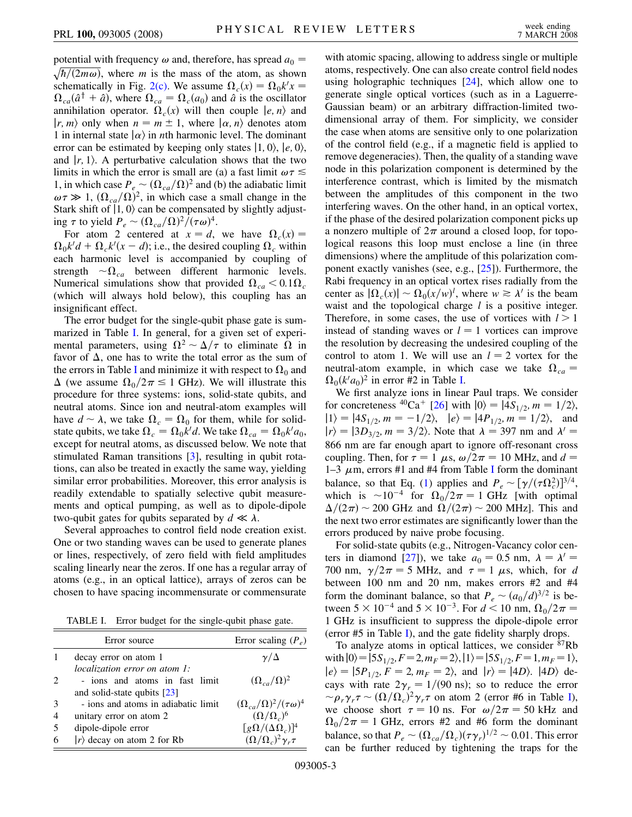potential with frequency  $\omega$  and, therefore, has spread  $a_0 =$  $\sqrt{\frac{h}{2m\omega}}$ , where *m* is the mass of the atom, as shown schematically in Fig. [2\(c\).](#page-1-1) We assume  $\Omega_c(x) = \Omega_0 k^t x =$  $\Omega_{ca}(\hat{a}^\dagger + \hat{a})$ , where  $\Omega_{ca} = \Omega_c(a_0)$  and  $\hat{a}$  is the oscillator annihilation operator.  $\Omega_c(x)$  will then couple  $|e, n\rangle$  and  $|r, m\rangle$  only when  $n = m \pm 1$ , where  $|\alpha, n\rangle$  denotes atom 1 in internal state  $\ket{\alpha}$  in *n*th harmonic level. The dominant error can be estimated by keeping only states  $|1, 0\rangle$ ,  $|e, 0\rangle$ , and  $\vert r, 1 \rangle$ . A perturbative calculation shows that the two limits in which the error is small are (a) a fast limit  $\omega \tau \lesssim$ 1, in which case  $P_e \sim (\Omega_{ca}/\Omega)^2$  and (b) the adiabatic limit  $\omega \tau \gg 1$ ,  $(\Omega_{ca}/\Omega)^2$ , in which case a small change in the Stark shift of  $|1, 0\rangle$  can be compensated by slightly adjusting  $\tau$  to yield  $P_e \sim (\Omega_{ca}/\Omega)^2/(\tau \omega)^4$ .

For atom 2 centered at  $x = d$ , we have  $\Omega_c(x) =$  $\Omega_0 k^{\prime} d + \Omega_c k^{\prime} (x - d)$ ; i.e., the desired coupling  $\Omega_c$  within each harmonic level is accompanied by coupling of strength  $\sim \Omega_{ca}$  between different harmonic levels. Numerical simulations show that provided  $\Omega_{ca} < 0.1 \Omega_c$ (which will always hold below), this coupling has an insignificant effect.

The error budget for the single-qubit phase gate is summarized in Table [I](#page-2-0). In general, for a given set of experimental parameters, using  $\Omega^2 \sim \Delta/\tau$  to eliminate  $\Omega$  in favor of  $\Delta$ , one has to write the total error as the sum of the errors in Table [I](#page-2-0) and minimize it with respect to  $\Omega_0$  and  $\Delta$  (we assume  $\Omega_0/2\pi \leq 1$  GHz). We will illustrate this procedure for three systems: ions, solid-state qubits, and neutral atoms. Since ion and neutral-atom examples will have  $d \sim \lambda$ , we take  $\Omega_c = \Omega_0$  for them, while for solidstate qubits, we take  $\Omega_c = \Omega_0 k' d$ . We take  $\Omega_{ca} = \Omega_0 k' a_0$ , except for neutral atoms, as discussed below. We note that stimulated Raman transitions [\[3](#page-3-2)], resulting in qubit rotations, can also be treated in exactly the same way, yielding similar error probabilities. Moreover, this error analysis is readily extendable to spatially selective qubit measurements and optical pumping, as well as to dipole-dipole two-qubit gates for qubits separated by  $d \ll \lambda$ .

Several approaches to control field node creation exist. One or two standing waves can be used to generate planes or lines, respectively, of zero field with field amplitudes scaling linearly near the zeros. If one has a regular array of atoms (e.g., in an optical lattice), arrays of zeros can be chosen to have spacing incommensurate or commensurate

TABLE I. Error budget for the single-qubit phase gate.

<span id="page-2-0"></span>

|                               | Error source                         | Error scaling $(P_e)$                     |
|-------------------------------|--------------------------------------|-------------------------------------------|
| 1                             | decay error on atom 1                | $\gamma/\Delta$                           |
|                               | <i>localization error on atom 1:</i> |                                           |
| $\mathfrak{D}_{\mathfrak{p}}$ | - ions and atoms in fast limit       | $(\Omega_{ca}/\Omega)^2$                  |
|                               | and solid-state qubits $[23]$        |                                           |
| 3                             | - ions and atoms in adiabatic limit  | $(\Omega_{ca}/\Omega)^2/(\tau\omega)^4$   |
| $\overline{4}$                | unitary error on atom 2              | $(\Omega/\Omega_c)^6$                     |
| 5                             | dipole-dipole error                  | $\lceil g\Omega/(\Delta\Omega_c)\rceil^4$ |
| 6                             | $ r\rangle$ decay on atom 2 for Rb   | $(\Omega/\Omega_c)^2 \gamma_r \tau$       |
|                               |                                      |                                           |

with atomic spacing, allowing to address single or multiple atoms, respectively. One can also create control field nodes using holographic techniques [\[24\]](#page-3-22), which allow one to generate single optical vortices (such as in a Laguerre-Gaussian beam) or an arbitrary diffraction-limited twodimensional array of them. For simplicity, we consider the case when atoms are sensitive only to one polarization of the control field (e.g., if a magnetic field is applied to remove degeneracies). Then, the quality of a standing wave node in this polarization component is determined by the interference contrast, which is limited by the mismatch between the amplitudes of this component in the two interfering waves. On the other hand, in an optical vortex, if the phase of the desired polarization component picks up a nonzero multiple of  $2\pi$  around a closed loop, for topological reasons this loop must enclose a line (in three dimensions) where the amplitude of this polarization component exactly vanishes (see, e.g., [[25](#page-3-23)]). Furthermore, the Rabi frequency in an optical vortex rises radially from the center as  $|\Omega_c(x)| \sim \Omega_0(x/w)^l$ , where  $w \ge \lambda'$  is the beam waist and the topological charge *l* is a positive integer. Therefore, in some cases, the use of vortices with  $l > 1$ instead of standing waves or  $l = 1$  vortices can improve the resolution by decreasing the undesired coupling of the control to atom 1. We will use an  $l = 2$  vortex for the neutral-atom example, in which case we take  $\Omega_{ca} =$  $\Omega_0(k^{\prime}a_0)^2$  in error #2 in Table [I.](#page-2-0)

We first analyze ions in linear Paul traps. We consider for concreteness <sup>40</sup>Ca<sup>+</sup> [\[26\]](#page-3-24) with  $|0\rangle = |4S_{1/2}, m = 1/2\rangle$ ,  $|1\rangle = |4S_{1/2}, m = -1/2\rangle, \quad |e\rangle = |4P_{1/2}, m = 1/2\rangle, \quad \text{and}$  $\ket{r} = \ket{3D_{3/2}, m = 3/2}$ . Note that  $\lambda = 397$  nm and  $\lambda' =$ 866 nm are far enough apart to ignore off-resonant cross coupling. Then, for  $\tau = 1 \mu s$ ,  $\omega/2\pi = 10$  MHz, and  $d =$ 1–3  $\mu$ m, errors #1 and #4 from Table [I](#page-2-0) form the dominant balance, so that Eq. [\(1\)](#page-1-2) applies and  $P_e \sim [\gamma/(\tau \Omega_c^2)]^{3/4}$ , which is  $\sim 10^{-4}$  for  $\Omega_0/2\pi = 1$  GHz [with optimal  $\Delta/(2\pi) \sim 200$  GHz and  $\Omega/(2\pi) \sim 200$  MHz]. This and the next two error estimates are significantly lower than the errors produced by naive probe focusing.

For solid-state qubits (e.g., Nitrogen-Vacancy color cen-ters in diamond [[27](#page-3-25)]), we take  $a_0 = 0.5$  nm,  $\lambda = \lambda' =$ 700 nm,  $\gamma/2\pi = 5$  MHz, and  $\tau = 1$   $\mu$ s, which, for *d* between 100 nm and 20 nm, makes errors #2 and #4 form the dominant balance, so that  $P_e \sim (a_0/d)^{3/2}$  is between  $5 \times 10^{-4}$  and  $5 \times 10^{-3}$ . For  $d < 10$  nm,  $\Omega_0/2\pi =$ 1 GHz is insufficient to suppress the dipole-dipole error (error #5 in Table [I](#page-2-0)), and the gate fidelity sharply drops.

To analyze atoms in optical lattices, we consider <sup>87</sup>Rb with  $|0\rangle = |5S_{1/2}, F=2, m_F = 2\rangle, |1\rangle = |5S_{1/2}, F=1, m_F = 1\rangle,$  $|e\rangle = |5P_{1/2}, F = 2, m_F = 2\rangle$ , and  $|r\rangle = |4D\rangle$ .  $|4D\rangle$  decays with rate  $2\gamma_r = 1/(90 \text{ ns})$ ; so to reduce the error  $\sim \rho_r \gamma_r \tau \sim (\Omega/\Omega_c)^2 \gamma_r \tau$  on atom 2 (error #6 in Table [I\)](#page-2-0), we choose short  $\tau = 10$  ns. For  $\omega/2\pi = 50$  kHz and  $\Omega_0/2\pi = 1$  GHz, errors #2 and #6 form the dominant balance, so that  $P_e \sim (\Omega_{ca}/\Omega_c)(\tau \gamma_r)^{1/2} \sim 0.01$ . This error can be further reduced by tightening the traps for the